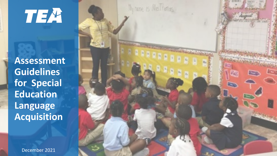TEA

**Assessment Guidelines for Special Education Language Acquisition**

December 2021

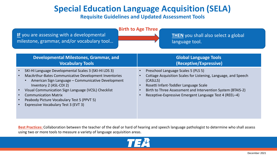# **Special Education Language Acquisition (SELA)**

### **Requisite Guidelines and Updated Assessment Tools**

| <b>Birth to Age Three</b><br>IF you are assessing with a developmental<br><b>THEN</b> you shall also select a global<br>milestone, grammar, and/or vocabulary tool<br>language tool.                                                                                                                                                                                        |                                                                                                                                                                                                                                                                                     |  |
|-----------------------------------------------------------------------------------------------------------------------------------------------------------------------------------------------------------------------------------------------------------------------------------------------------------------------------------------------------------------------------|-------------------------------------------------------------------------------------------------------------------------------------------------------------------------------------------------------------------------------------------------------------------------------------|--|
| Developmental Milestones, Grammar, and<br><b>Vocabulary Tools</b>                                                                                                                                                                                                                                                                                                           | <b>Global Language Tools</b><br>(Receptive/Expressive)                                                                                                                                                                                                                              |  |
| SKI-HI Language Developmental Scales 3 (SKI-HI LDS 3)<br>MacArthur-Bates Communicative Development Inventories<br>American Sign Language - Communicative Development<br>Inventory 2 (ASL-CDI 2)<br>Visual Communication Sign Language (VCSL) Checklist<br><b>Communication Matrix</b><br>Peabody Picture Vocabulary Test 5 (PPVT 5)<br>Expressive Vocabulary Test 3 (EVT 3) | Preschool Language Scales 5 (PLS 5)<br>Cottage Acquisition Scales for Listening, Language, and Speech<br>(CASLLS)<br>Rosetti Infant-Toddler Language Scale<br>Birth to Three Assessment and Intervention System (BTAIS-2)<br>Receptive-Expressive Emergent Language Test 4 (REEL-4) |  |

**Best Practices:** Collaboration between the teacher of the deaf or hard of hearing and speech language pathologist to determine who shall assess using two or more tools to measure a variety of language acquisition areas.

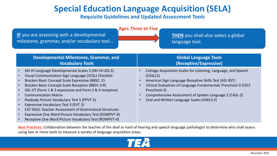# **Special Education Language Acquisition (SELA)**

### **Requisite Guidelines and Updated Assessment Tools**

| <b>Ages Three to Five</b><br>IF you are assessing with a developmental<br><b>THEN</b> you shall also select a global<br>milestone, grammar, and/or vocabulary tool<br>language tool.                                                                                                                                                                                                                                                                                                                                                                                                                                                                                   |                                                                                                                                                                                                                                                                                                                                |
|------------------------------------------------------------------------------------------------------------------------------------------------------------------------------------------------------------------------------------------------------------------------------------------------------------------------------------------------------------------------------------------------------------------------------------------------------------------------------------------------------------------------------------------------------------------------------------------------------------------------------------------------------------------------|--------------------------------------------------------------------------------------------------------------------------------------------------------------------------------------------------------------------------------------------------------------------------------------------------------------------------------|
| Developmental Milestones, Grammar, and<br><b>Vocabulary Tools</b>                                                                                                                                                                                                                                                                                                                                                                                                                                                                                                                                                                                                      | <b>Global Language Tools</b><br>(Receptive/Expressive)                                                                                                                                                                                                                                                                         |
| SKI-HI Language Developmental Scales 3 (SKI-HI LDS 3)<br>Visual Communication Sign Language (VCSL) Checklist<br>Bracken Basic Concept Scale Expressive (BBSC: E)<br>Bracken Basic Concept Scale Receptive (BBSC-3:R)<br>$\bullet$<br>ASL-VT (Form 1 & 3 expressive and Form 2 & 4 receptive)<br>$\bullet$<br><b>Communication Matrix</b><br>$\bullet$<br>Peabody Picture Vocabulary Test 5 (PPVT 5)<br>$\bullet$<br>Expressive Vocabulary Test 3 (EVT 3)<br><b>CID TAGS: Teacher Assessment of Grammatical Structures</b><br>$\bullet$<br>Expressive One Word Picture Vocabulary Test (EOWPVT-4)<br>$\bullet$<br>Receptive One Word Picture Vocabulary Test (ROWPVT-4) | Cottage Acquisition Scales for Listening, Language, and Speech<br>(CASLLS)<br>American Sign Language Receptive Skills Test (ASL RST)<br>Clinical Evaluation of Language Fundamentals Preschool-3 (CELF<br>Preschool-3)<br>Comprehensive Assessment of Spoken Language 2 (CASL-2)<br>Oral and Written Language Scales (OWLS II) |

**Best Practices:** Collaboration between the teacher of the deaf or hard of hearing and speech language pathologist to determine who shall assess using two or more tools to measure a variety of language acquisition areas.